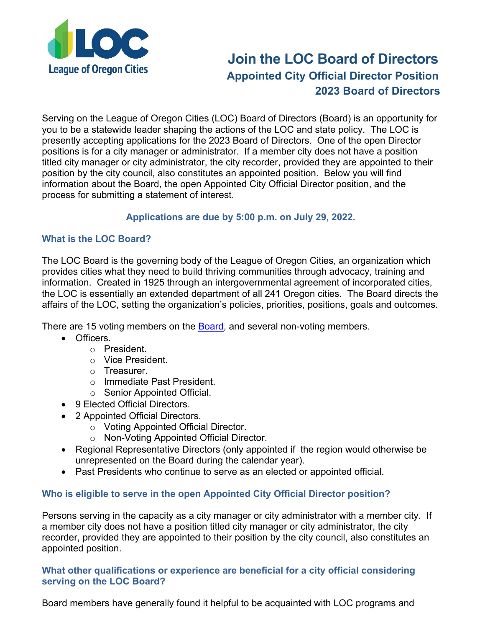

# **Join the LOC Board of Directors Appointed City Official Director Position 2023 Board of Directors**

Serving on the League of Oregon Cities (LOC) Board of Directors (Board) is an opportunity for you to be a statewide leader shaping the actions of the LOC and state policy. The LOC is presently accepting applications for the 2023 Board of Directors. One of the open Director positions is for a city manager or administrator. If a member city does not have a position titled city manager or city administrator, the city recorder, provided they are appointed to their position by the city council, also constitutes an appointed position. Below you will find information about the Board, the open Appointed City Official Director position, and the process for submitting a statement of interest.

## **Applications are due by 5:00 p.m. on July 29, 2022.**

# **What is the LOC Board?**

The LOC Board is the governing body of the League of Oregon Cities, an organization which provides cities what they need to build thriving communities through advocacy, training and information. Created in 1925 through an intergovernmental agreement of incorporated cities, the LOC is essentially an extended department of all 241 Oregon cities. The Board directs the affairs of the LOC, setting the organization's policies, priorities, positions, goals and outcomes.

There are 15 voting members on the [Board,](https://www.orcities.org/about/who-we-are/board-directors) and several non-voting members.

- Officers.
	- o President.
	- o Vice President.
	- o Treasurer.
	- o Immediate Past President.
	- o Senior Appointed Official.
- 9 Elected Official Directors.
- 2 Appointed Official Directors.
	- o Voting Appointed Official Director.
	- o Non-Voting Appointed Official Director.
- Regional Representative Directors (only appointed if the region would otherwise be unrepresented on the Board during the calendar year).
- Past Presidents who continue to serve as an elected or appointed official.

# **Who is eligible to serve in the open Appointed City Official Director position?**

Persons serving in the capacity as a city manager or city administrator with a member city. If a member city does not have a position titled city manager or city administrator, the city recorder, provided they are appointed to their position by the city council, also constitutes an appointed position.

**What other qualifications or experience are beneficial for a city official considering serving on the LOC Board?** 

Board members have generally found it helpful to be acquainted with LOC programs and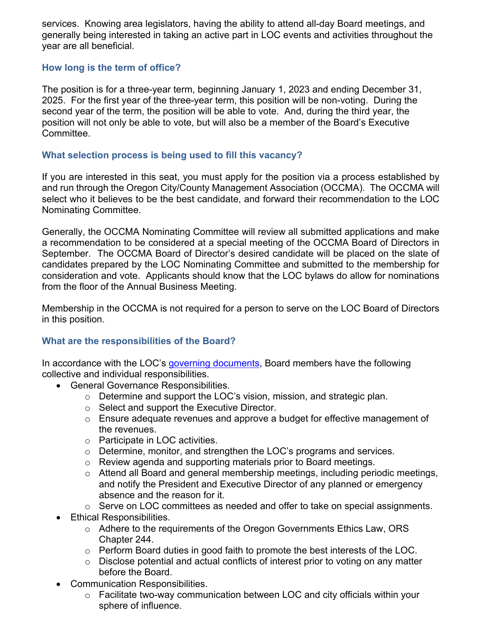services. Knowing area legislators, having the ability to attend all-day Board meetings, and generally being interested in taking an active part in LOC events and activities throughout the year are all beneficial.

## **How long is the term of office?**

The position is for a three-year term, beginning January 1, 2023 and ending December 31, 2025. For the first year of the three-year term, this position will be non-voting. During the second year of the term, the position will be able to vote. And, during the third year, the position will not only be able to vote, but will also be a member of the Board's Executive Committee.

## **What selection process is being used to fill this vacancy?**

If you are interested in this seat, you must apply for the position via a process established by and run through the Oregon City/County Management Association (OCCMA). The OCCMA will select who it believes to be the best candidate, and forward their recommendation to the LOC Nominating Committee.

Generally, the OCCMA Nominating Committee will review all submitted applications and make a recommendation to be considered at a special meeting of the OCCMA Board of Directors in September. The OCCMA Board of Director's desired candidate will be placed on the slate of candidates prepared by the LOC Nominating Committee and submitted to the membership for consideration and vote. Applicants should know that the LOC bylaws do allow for nominations from the floor of the Annual Business Meeting.

Membership in the OCCMA is not required for a person to serve on the LOC Board of Directors in this position.

#### **What are the responsibilities of the Board?**

In accordance with the LOC's [governing documents,](https://www.orcities.org/about/who-we-are/governing-guidelines) Board members have the following collective and individual responsibilities.

- General Governance Responsibilities.
	- o Determine and support the LOC's vision, mission, and strategic plan.
	- o Select and support the Executive Director.
	- o Ensure adequate revenues and approve a budget for effective management of the revenues.
	- o Participate in LOC activities.
	- o Determine, monitor, and strengthen the LOC's programs and services.
	- o Review agenda and supporting materials prior to Board meetings.
	- o Attend all Board and general membership meetings, including periodic meetings, and notify the President and Executive Director of any planned or emergency absence and the reason for it.
	- o Serve on LOC committees as needed and offer to take on special assignments.
- Ethical Responsibilities.
	- o Adhere to the requirements of the Oregon Governments Ethics Law, ORS Chapter 244.
	- $\circ$  Perform Board duties in good faith to promote the best interests of the LOC.
	- o Disclose potential and actual conflicts of interest prior to voting on any matter before the Board.
- Communication Responsibilities.
	- o Facilitate two-way communication between LOC and city officials within your sphere of influence.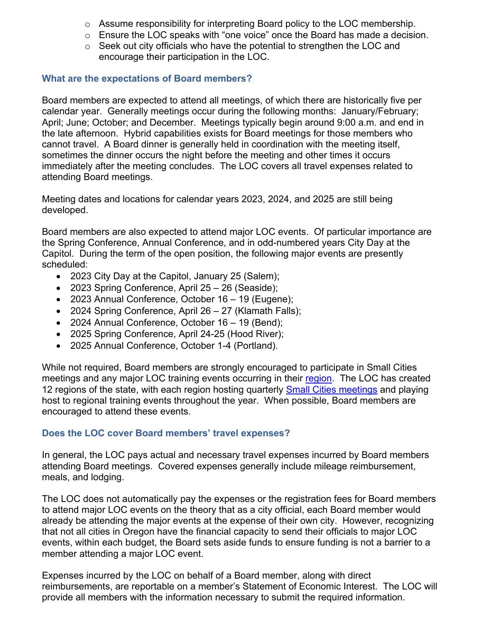- $\circ$  Assume responsibility for interpreting Board policy to the LOC membership.
- o Ensure the LOC speaks with "one voice" once the Board has made a decision.
- $\circ$  Seek out city officials who have the potential to strengthen the LOC and encourage their participation in the LOC.

#### **What are the expectations of Board members?**

Board members are expected to attend all meetings, of which there are historically five per calendar year. Generally meetings occur during the following months: January/February; April; June; October; and December. Meetings typically begin around 9:00 a.m. and end in the late afternoon. Hybrid capabilities exists for Board meetings for those members who cannot travel. A Board dinner is generally held in coordination with the meeting itself, sometimes the dinner occurs the night before the meeting and other times it occurs immediately after the meeting concludes. The LOC covers all travel expenses related to attending Board meetings.

Meeting dates and locations for calendar years 2023, 2024, and 2025 are still being developed.

Board members are also expected to attend major LOC events. Of particular importance are the Spring Conference, Annual Conference, and in odd-numbered years City Day at the Capitol. During the term of the open position, the following major events are presently scheduled:

- 2023 City Day at the Capitol, January 25 (Salem);
- 2023 Spring Conference, April 25 26 (Seaside);
- 2023 Annual Conference, October 16 19 (Eugene);
- 2024 Spring Conference, April 26 27 (Klamath Falls);
- 2024 Annual Conference, October 16 19 (Bend);
- 2025 Spring Conference, April 24-25 (Hood River);
- 2025 Annual Conference, October 1-4 (Portland).

While not required, Board members are strongly encouraged to participate in Small Cities meetings and any major LOC training events occurring in their [region.](https://www.orcities.org/resources/reference/map-oregon-cities) The LOC has created 12 regions of the state, with each region hosting quarterly [Small Cities meetings](https://www.orcities.org/education/small-cities-program) and playing host to regional training events throughout the year. When possible, Board members are encouraged to attend these events.

#### **Does the LOC cover Board members' travel expenses?**

In general, the LOC pays actual and necessary travel expenses incurred by Board members attending Board meetings. Covered expenses generally include mileage reimbursement, meals, and lodging.

The LOC does not automatically pay the expenses or the registration fees for Board members to attend major LOC events on the theory that as a city official, each Board member would already be attending the major events at the expense of their own city. However, recognizing that not all cities in Oregon have the financial capacity to send their officials to major LOC events, within each budget, the Board sets aside funds to ensure funding is not a barrier to a member attending a major LOC event.

Expenses incurred by the LOC on behalf of a Board member, along with direct reimbursements, are reportable on a member's Statement of Economic Interest. The LOC will provide all members with the information necessary to submit the required information.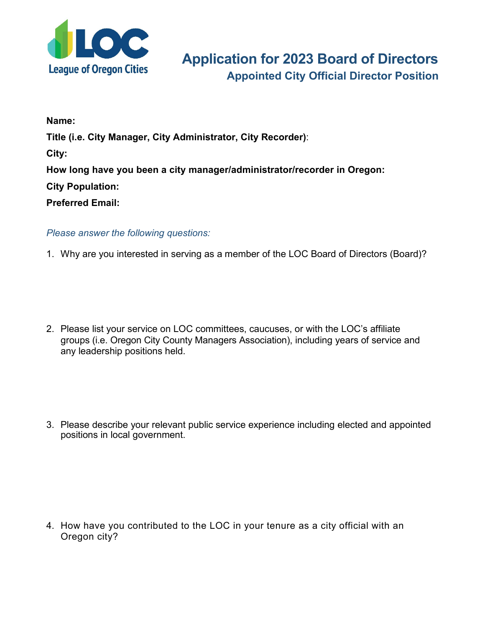

**Name: Title (i.e. City Manager, City Administrator, City Recorder)**: **City: How long have you been a city manager/administrator/recorder in Oregon: City Population: Preferred Email:**

## *Please answer the following questions:*

1. Why are you interested in serving as a member of the LOC Board of Directors (Board)?

- 2. Please list your service on LOC committees, caucuses, or with the LOC's affiliate groups (i.e. Oregon City County Managers Association), including years of service and any leadership positions held.
- 3. Please describe your relevant public service experience including elected and appointed positions in local government.

4. How have you contributed to the LOC in your tenure as a city official with an Oregon city?